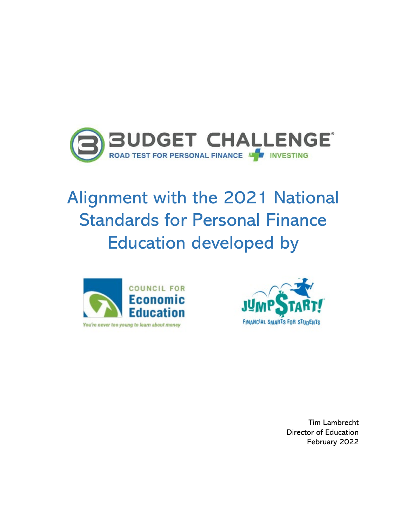

## Alignment with the 2021 National Standards for Personal Finance Education developed by





Tim Lambrecht Director of Education February 2022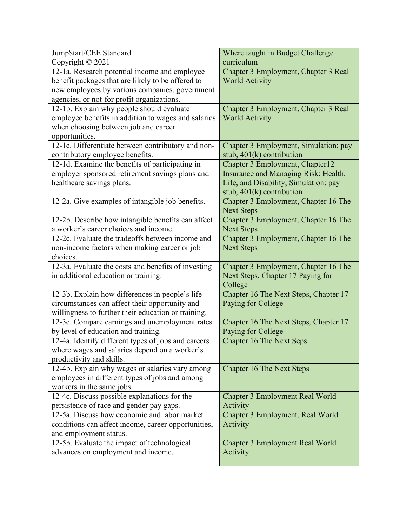| Jump\$tart/CEE Standard                                                                   | Where taught in Budget Challenge      |
|-------------------------------------------------------------------------------------------|---------------------------------------|
| Copyright © 2021                                                                          | curriculum                            |
| 12-1a. Research potential income and employee                                             | Chapter 3 Employment, Chapter 3 Real  |
| benefit packages that are likely to be offered to                                         | <b>World Activity</b>                 |
| new employees by various companies, government                                            |                                       |
| agencies, or not-for profit organizations.                                                |                                       |
| 12-1b. Explain why people should evaluate                                                 | Chapter 3 Employment, Chapter 3 Real  |
| employee benefits in addition to wages and salaries                                       | <b>World Activity</b>                 |
| when choosing between job and career                                                      |                                       |
| opportunities.                                                                            |                                       |
| 12-1c. Differentiate between contributory and non-                                        | Chapter 3 Employment, Simulation: pay |
| contributory employee benefits.                                                           | stub, $401(k)$ contribution           |
| 12-1d. Examine the benefits of participating in                                           | Chapter 3 Employment, Chapter12       |
| employer sponsored retirement savings plans and                                           | Insurance and Managing Risk: Health,  |
| healthcare savings plans.                                                                 | Life, and Disability, Simulation: pay |
|                                                                                           | stub, $401(k)$ contribution           |
| 12-2a. Give examples of intangible job benefits.                                          | Chapter 3 Employment, Chapter 16 The  |
|                                                                                           | <b>Next Steps</b>                     |
| 12-2b. Describe how intangible benefits can affect                                        | Chapter 3 Employment, Chapter 16 The  |
| a worker's career choices and income.<br>12-2c. Evaluate the tradeoffs between income and | <b>Next Steps</b>                     |
|                                                                                           | Chapter 3 Employment, Chapter 16 The  |
| non-income factors when making career or job<br>choices.                                  | <b>Next Steps</b>                     |
| 12-3a. Evaluate the costs and benefits of investing                                       | Chapter 3 Employment, Chapter 16 The  |
| in additional education or training.                                                      | Next Steps, Chapter 17 Paying for     |
|                                                                                           | College                               |
| 12-3b. Explain how differences in people's life                                           | Chapter 16 The Next Steps, Chapter 17 |
| circumstances can affect their opportunity and                                            | Paying for College                    |
| willingness to further their education or training.                                       |                                       |
| 12-3c. Compare earnings and unemployment rates                                            | Chapter 16 The Next Steps, Chapter 17 |
| by level of education and training.                                                       | Paying for College                    |
| 12-4a. Identify different types of jobs and careers                                       | <b>Chapter 16 The Next Seps</b>       |
| where wages and salaries depend on a worker's                                             |                                       |
| productivity and skills.                                                                  |                                       |
| 12-4b. Explain why wages or salaries vary among                                           | <b>Chapter 16 The Next Steps</b>      |
| employees in different types of jobs and among                                            |                                       |
| workers in the same jobs.                                                                 |                                       |
| 12-4c. Discuss possible explanations for the                                              | Chapter 3 Employment Real World       |
| persistence of race and gender pay gaps.                                                  | Activity                              |
| 12-5a. Discuss how economic and labor market                                              | Chapter 3 Employment, Real World      |
| conditions can affect income, career opportunities,                                       | Activity                              |
| and employment status.                                                                    |                                       |
| 12-5b. Evaluate the impact of technological                                               | Chapter 3 Employment Real World       |
| advances on employment and income.                                                        | Activity                              |
|                                                                                           |                                       |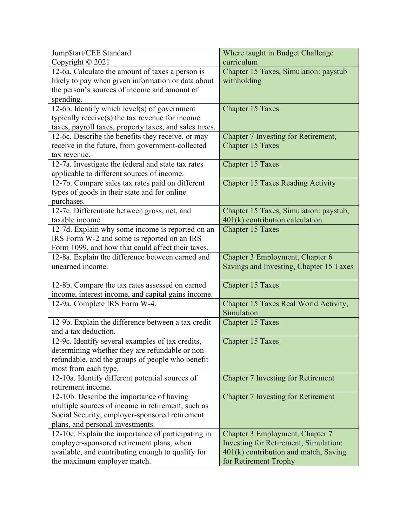| Jump\$tart/CEE Standard                                | Where taught in Budget Challenge          |
|--------------------------------------------------------|-------------------------------------------|
| Copyright © 2021                                       | curriculum                                |
| 12-6a. Calculate the amount of taxes a person is       | Chapter 15 Taxes, Simulation: paystub     |
| likely to pay when given information or data about     | withholding                               |
| the person's sources of income and amount of           |                                           |
| spending.                                              |                                           |
| 12-6b. Identify which level(s) of government           | <b>Chapter 15 Taxes</b>                   |
| typically receive(s) the tax revenue for income        |                                           |
| taxes, payroll taxes, property taxes, and sales taxes. |                                           |
| 12-6c. Describe the benefits they receive, or may      | Chapter 7 Investing for Retirement,       |
| receive in the future, from government-collected       | <b>Chapter 15 Taxes</b>                   |
| tax revenue.                                           |                                           |
| 12-7a. Investigate the federal and state tax rates     | <b>Chapter 15 Taxes</b>                   |
| applicable to different sources of income.             |                                           |
| 12-7b. Compare sales tax rates paid on different       | <b>Chapter 15 Taxes Reading Activity</b>  |
| types of goods in their state and for online           |                                           |
| purchases.                                             |                                           |
| 12-7c. Differentiate between gross, net, and           | Chapter 15 Taxes, Simulation: paystub,    |
| taxable income.                                        | $401(k)$ contribution calculation         |
| 12-7d. Explain why some income is reported on an       | <b>Chapter 15 Taxes</b>                   |
| IRS Form W-2 and some is reported on an IRS            |                                           |
| Form 1099, and how that could affect their taxes.      |                                           |
| 12-8a. Explain the difference between earned and       | Chapter 3 Employment, Chapter 6           |
| unearned income.                                       | Savings and Investing, Chapter 15 Taxes   |
|                                                        |                                           |
| 12-8b. Compare the tax rates assessed on earned        | <b>Chapter 15 Taxes</b>                   |
| income, interest income, and capital gains income.     |                                           |
| 12-9a. Complete IRS Form W-4.                          | Chapter 15 Taxes Real World Activity,     |
|                                                        | Simulation                                |
| 12-9b. Explain the difference between a tax credit     | <b>Chapter 15 Taxes</b>                   |
| and a tax deduction.                                   |                                           |
| 12-9c. Identify several examples of tax credits,       | Chapter 15 Taxes                          |
| determining whether they are refundable or non-        |                                           |
| refundable, and the groups of people who benefit       |                                           |
| most from each type.                                   |                                           |
| 12-10a. Identify different potential sources of        | <b>Chapter 7 Investing for Retirement</b> |
| retirement income.                                     |                                           |
| 12-10b. Describe the importance of having              | <b>Chapter 7 Investing for Retirement</b> |
| multiple sources of income in retirement, such as      |                                           |
| Social Security, employer-sponsored retirement         |                                           |
| plans, and personal investments.                       |                                           |
| 12-10c. Explain the importance of participating in     | Chapter 3 Employment, Chapter 7           |
| employer-sponsored retirement plans, when              | Investing for Retirement, Simulation:     |
| available, and contributing enough to qualify for      | $401(k)$ contribution and match, Saving   |
| the maximum employer match.                            | for Retirement Trophy                     |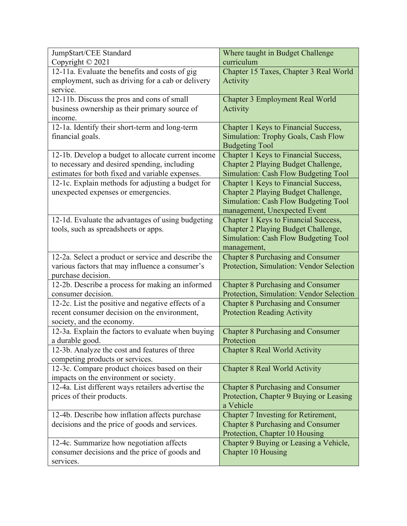| Jump\$tart/CEE Standard                             | Where taught in Budget Challenge         |
|-----------------------------------------------------|------------------------------------------|
| Copyright © 2021                                    | curriculum                               |
| 12-11a. Evaluate the benefits and costs of gig      | Chapter 15 Taxes, Chapter 3 Real World   |
| employment, such as driving for a cab or delivery   | Activity                                 |
| service.                                            |                                          |
| 12-11b. Discuss the pros and cons of small          | <b>Chapter 3 Employment Real World</b>   |
| business ownership as their primary source of       | Activity                                 |
| income.                                             |                                          |
| 12-1a. Identify their short-term and long-term      | Chapter 1 Keys to Financial Success,     |
| financial goals.                                    | Simulation: Trophy Goals, Cash Flow      |
|                                                     | <b>Budgeting Tool</b>                    |
| 12-1b. Develop a budget to allocate current income  | Chapter 1 Keys to Financial Success,     |
| to necessary and desired spending, including        | Chapter 2 Playing Budget Challenge,      |
| estimates for both fixed and variable expenses.     | Simulation: Cash Flow Budgeting Tool     |
| 12-1c. Explain methods for adjusting a budget for   | Chapter 1 Keys to Financial Success,     |
| unexpected expenses or emergencies.                 | Chapter 2 Playing Budget Challenge,      |
|                                                     | Simulation: Cash Flow Budgeting Tool     |
|                                                     | management, Unexpected Event             |
| 12-1d. Evaluate the advantages of using budgeting   | Chapter 1 Keys to Financial Success,     |
| tools, such as spreadsheets or apps.                | Chapter 2 Playing Budget Challenge,      |
|                                                     | Simulation: Cash Flow Budgeting Tool     |
|                                                     | management,                              |
| 12-2a. Select a product or service and describe the | <b>Chapter 8 Purchasing and Consumer</b> |
| various factors that may influence a consumer's     | Protection, Simulation: Vendor Selection |
| purchase decision.                                  |                                          |
| 12-2b. Describe a process for making an informed    | <b>Chapter 8 Purchasing and Consumer</b> |
| consumer decision.                                  | Protection, Simulation: Vendor Selection |
| 12-2c. List the positive and negative effects of a  | <b>Chapter 8 Purchasing and Consumer</b> |
| recent consumer decision on the environment,        | <b>Protection Reading Activity</b>       |
| society, and the economy.                           |                                          |
| 12-3a. Explain the factors to evaluate when buying  | <b>Chapter 8 Purchasing and Consumer</b> |
| a durable good.                                     | Protection                               |
| 12-3b. Analyze the cost and features of three       | <b>Chapter 8 Real World Activity</b>     |
| competing products or services.                     |                                          |
| 12-3c. Compare product choices based on their       | <b>Chapter 8 Real World Activity</b>     |
| impacts on the environment or society.              |                                          |
| 12-4a. List different ways retailers advertise the  | <b>Chapter 8 Purchasing and Consumer</b> |
| prices of their products.                           | Protection, Chapter 9 Buying or Leasing  |
|                                                     | a Vehicle                                |
| 12-4b. Describe how inflation affects purchase      | Chapter 7 Investing for Retirement,      |
| decisions and the price of goods and services.      | <b>Chapter 8 Purchasing and Consumer</b> |
|                                                     | Protection, Chapter 10 Housing           |
| 12-4c. Summarize how negotiation affects            | Chapter 9 Buying or Leasing a Vehicle,   |
| consumer decisions and the price of goods and       | Chapter 10 Housing                       |
| services.                                           |                                          |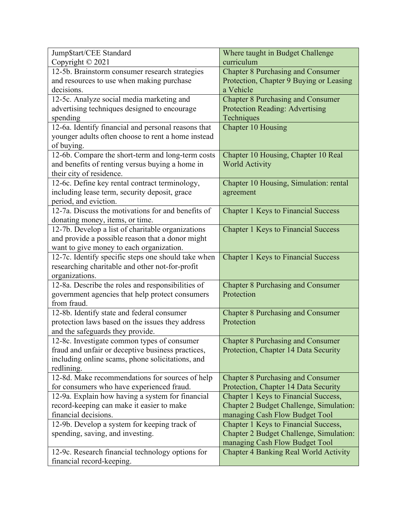| Jump\$tart/CEE Standard                                                                              | Where taught in Budget Challenge                       |
|------------------------------------------------------------------------------------------------------|--------------------------------------------------------|
| Copyright © 2021                                                                                     | curriculum                                             |
| 12-5b. Brainstorm consumer research strategies                                                       | <b>Chapter 8 Purchasing and Consumer</b>               |
| and resources to use when making purchase                                                            | Protection, Chapter 9 Buying or Leasing                |
| decisions.                                                                                           | a Vehicle                                              |
| 12-5c. Analyze social media marketing and                                                            | <b>Chapter 8 Purchasing and Consumer</b>               |
| advertising techniques designed to encourage                                                         | <b>Protection Reading: Advertising</b>                 |
| spending                                                                                             | Techniques                                             |
| 12-6a. Identify financial and personal reasons that                                                  | <b>Chapter 10 Housing</b>                              |
| younger adults often choose to rent a home instead                                                   |                                                        |
| of buying.                                                                                           |                                                        |
| 12-6b. Compare the short-term and long-term costs                                                    | Chapter 10 Housing, Chapter 10 Real                    |
| and benefits of renting versus buying a home in                                                      | <b>World Activity</b>                                  |
| their city of residence.                                                                             |                                                        |
| 12-6c. Define key rental contract terminology,                                                       | Chapter 10 Housing, Simulation: rental                 |
| including lease term, security deposit, grace                                                        | agreement                                              |
| period, and eviction.                                                                                |                                                        |
| 12-7a. Discuss the motivations for and benefits of                                                   | <b>Chapter 1 Keys to Financial Success</b>             |
| donating money, items, or time.                                                                      |                                                        |
| 12-7b. Develop a list of charitable organizations                                                    | <b>Chapter 1 Keys to Financial Success</b>             |
| and provide a possible reason that a donor might                                                     |                                                        |
| want to give money to each organization.                                                             |                                                        |
| 12-7c. Identify specific steps one should take when                                                  | <b>Chapter 1 Keys to Financial Success</b>             |
| researching charitable and other not-for-profit                                                      |                                                        |
| organizations.                                                                                       |                                                        |
| 12-8a. Describe the roles and responsibilities of<br>government agencies that help protect consumers | <b>Chapter 8 Purchasing and Consumer</b><br>Protection |
| from fraud.                                                                                          |                                                        |
| 12-8b. Identify state and federal consumer                                                           | <b>Chapter 8 Purchasing and Consumer</b>               |
| protection laws based on the issues they address                                                     | Protection                                             |
| and the safeguards they provide.                                                                     |                                                        |
| 12-8c. Investigate common types of consumer                                                          | <b>Chapter 8 Purchasing and Consumer</b>               |
| fraud and unfair or deceptive business practices,                                                    | Protection, Chapter 14 Data Security                   |
| including online scams, phone solicitations, and                                                     |                                                        |
| redlining.                                                                                           |                                                        |
| 12-8d. Make recommendations for sources of help                                                      | <b>Chapter 8 Purchasing and Consumer</b>               |
| for consumers who have experienced fraud.                                                            | Protection, Chapter 14 Data Security                   |
| 12-9a. Explain how having a system for financial                                                     | Chapter 1 Keys to Financial Success,                   |
| record-keeping can make it easier to make                                                            | Chapter 2 Budget Challenge, Simulation:                |
| financial decisions.                                                                                 | managing Cash Flow Budget Tool                         |
| 12-9b. Develop a system for keeping track of                                                         | Chapter 1 Keys to Financial Success,                   |
| spending, saving, and investing.                                                                     | Chapter 2 Budget Challenge, Simulation:                |
|                                                                                                      | managing Cash Flow Budget Tool                         |
| 12-9c. Research financial technology options for                                                     | <b>Chapter 4 Banking Real World Activity</b>           |
| financial record-keeping.                                                                            |                                                        |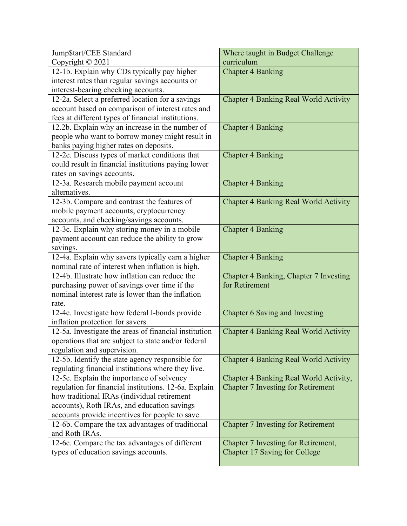| Jump\$tart/CEE Standard                               | Where taught in Budget Challenge             |
|-------------------------------------------------------|----------------------------------------------|
| Copyright © 2021                                      | curriculum                                   |
| 12-1b. Explain why CDs typically pay higher           | <b>Chapter 4 Banking</b>                     |
| interest rates than regular savings accounts or       |                                              |
| interest-bearing checking accounts.                   |                                              |
| 12-2a. Select a preferred location for a savings      | <b>Chapter 4 Banking Real World Activity</b> |
| account based on comparison of interest rates and     |                                              |
| fees at different types of financial institutions.    |                                              |
| 12.2b. Explain why an increase in the number of       | <b>Chapter 4 Banking</b>                     |
| people who want to borrow money might result in       |                                              |
| banks paying higher rates on deposits.                |                                              |
| 12-2c. Discuss types of market conditions that        | <b>Chapter 4 Banking</b>                     |
| could result in financial institutions paying lower   |                                              |
| rates on savings accounts.                            |                                              |
| 12-3a. Research mobile payment account                | <b>Chapter 4 Banking</b>                     |
| alternatives.                                         |                                              |
| 12-3b. Compare and contrast the features of           | <b>Chapter 4 Banking Real World Activity</b> |
| mobile payment accounts, cryptocurrency               |                                              |
| accounts, and checking/savings accounts.              |                                              |
| 12-3c. Explain why storing money in a mobile          | <b>Chapter 4 Banking</b>                     |
| payment account can reduce the ability to grow        |                                              |
| savings.                                              |                                              |
| 12-4a. Explain why savers typically earn a higher     | <b>Chapter 4 Banking</b>                     |
| nominal rate of interest when inflation is high.      |                                              |
| 12-4b. Illustrate how inflation can reduce the        | Chapter 4 Banking, Chapter 7 Investing       |
| purchasing power of savings over time if the          | for Retirement                               |
| nominal interest rate is lower than the inflation     |                                              |
| rate.                                                 |                                              |
| 12-4c. Investigate how federal I-bonds provide        | Chapter 6 Saving and Investing               |
| inflation protection for savers.                      |                                              |
| 12-5a. Investigate the areas of financial institution | <b>Chapter 4 Banking Real World Activity</b> |
| operations that are subject to state and/or federal   |                                              |
| regulation and supervision.                           |                                              |
| 12-5b. Identify the state agency responsible for      | <b>Chapter 4 Banking Real World Activity</b> |
| regulating financial institutions where they live.    |                                              |
| 12-5c. Explain the importance of solvency             | Chapter 4 Banking Real World Activity,       |
| regulation for financial institutions. 12-6a. Explain | <b>Chapter 7 Investing for Retirement</b>    |
| how traditional IRAs (individual retirement           |                                              |
| accounts), Roth IRAs, and education savings           |                                              |
| accounts provide incentives for people to save.       |                                              |
| 12-6b. Compare the tax advantages of traditional      | <b>Chapter 7 Investing for Retirement</b>    |
| and Roth IRAs.                                        |                                              |
| 12-6c. Compare the tax advantages of different        | Chapter 7 Investing for Retirement,          |
| types of education savings accounts.                  | Chapter 17 Saving for College                |
|                                                       |                                              |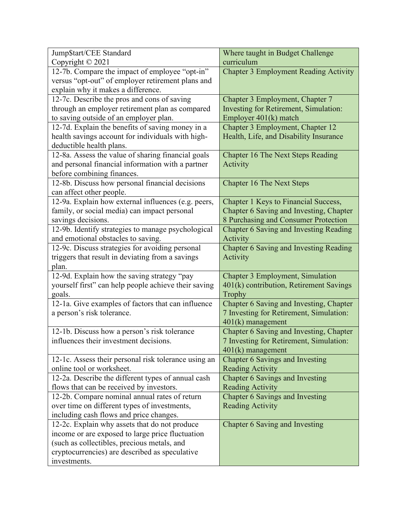| Jump\$tart/CEE Standard                              | Where taught in Budget Challenge              |
|------------------------------------------------------|-----------------------------------------------|
| Copyright © 2021                                     | curriculum                                    |
| 12-7b. Compare the impact of employee "opt-in"       | <b>Chapter 3 Employment Reading Activity</b>  |
| versus "opt-out" of employer retirement plans and    |                                               |
| explain why it makes a difference.                   |                                               |
| 12-7c. Describe the pros and cons of saving          | Chapter 3 Employment, Chapter 7               |
| through an employer retirement plan as compared      | Investing for Retirement, Simulation:         |
| to saving outside of an employer plan.               | Employer 401(k) match                         |
| 12-7d. Explain the benefits of saving money in a     | Chapter 3 Employment, Chapter 12              |
| health savings account for individuals with high-    | Health, Life, and Disability Insurance        |
| deductible health plans.                             |                                               |
| 12-8a. Assess the value of sharing financial goals   | Chapter 16 The Next Steps Reading             |
| and personal financial information with a partner    | Activity                                      |
| before combining finances.                           |                                               |
| 12-8b. Discuss how personal financial decisions      | <b>Chapter 16 The Next Steps</b>              |
| can affect other people.                             |                                               |
| 12-9a. Explain how external influences (e.g. peers,  | Chapter 1 Keys to Financial Success,          |
| family, or social media) can impact personal         | Chapter 6 Saving and Investing, Chapter       |
| savings decisions.                                   | 8 Purchasing and Consumer Protection          |
| 12-9b. Identify strategies to manage psychological   | <b>Chapter 6 Saving and Investing Reading</b> |
| and emotional obstacles to saving.                   | Activity                                      |
| 12-9c. Discuss strategies for avoiding personal      | Chapter 6 Saving and Investing Reading        |
| triggers that result in deviating from a savings     | Activity                                      |
| plan.                                                |                                               |
| 12-9d. Explain how the saving strategy "pay          | Chapter 3 Employment, Simulation              |
| yourself first" can help people achieve their saving | 401(k) contribution, Retirement Savings       |
| goals.                                               | Trophy                                        |
| 12-1a. Give examples of factors that can influence   | Chapter 6 Saving and Investing, Chapter       |
| a person's risk tolerance.                           | 7 Investing for Retirement, Simulation:       |
|                                                      | 401(k) management                             |
| 12-1b. Discuss how a person's risk tolerance         | Chapter 6 Saving and Investing, Chapter       |
| influences their investment decisions.               | 7 Investing for Retirement, Simulation:       |
|                                                      | $401(k)$ management                           |
| 12-1c. Assess their personal risk tolerance using an | Chapter 6 Savings and Investing               |
| online tool or worksheet.                            | <b>Reading Activity</b>                       |
| 12-2a. Describe the different types of annual cash   | Chapter 6 Savings and Investing               |
| flows that can be received by investors.             | <b>Reading Activity</b>                       |
| 12-2b. Compare nominal annual rates of return        | Chapter 6 Savings and Investing               |
| over time on different types of investments,         | <b>Reading Activity</b>                       |
| including cash flows and price changes.              |                                               |
| 12-2c. Explain why assets that do not produce        | Chapter 6 Saving and Investing                |
| income or are exposed to large price fluctuation     |                                               |
| (such as collectibles, precious metals, and          |                                               |
| cryptocurrencies) are described as speculative       |                                               |
| investments.                                         |                                               |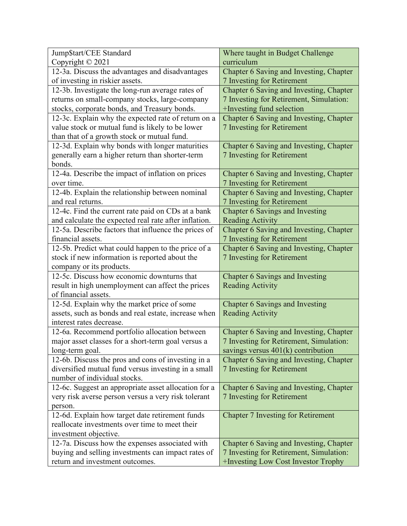| Jump\$tart/CEE Standard                               | Where taught in Budget Challenge          |
|-------------------------------------------------------|-------------------------------------------|
| Copyright © 2021                                      | curriculum                                |
| 12-3a. Discuss the advantages and disadvantages       | Chapter 6 Saving and Investing, Chapter   |
| of investing in riskier assets.                       | 7 Investing for Retirement                |
| 12-3b. Investigate the long-run average rates of      | Chapter 6 Saving and Investing, Chapter   |
| returns on small-company stocks, large-company        | 7 Investing for Retirement, Simulation:   |
| stocks, corporate bonds, and Treasury bonds.          | +Investing fund selection                 |
| 12-3c. Explain why the expected rate of return on a   | Chapter 6 Saving and Investing, Chapter   |
| value stock or mutual fund is likely to be lower      | 7 Investing for Retirement                |
| than that of a growth stock or mutual fund.           |                                           |
| 12-3d. Explain why bonds with longer maturities       | Chapter 6 Saving and Investing, Chapter   |
| generally earn a higher return than shorter-term      | 7 Investing for Retirement                |
| bonds.                                                |                                           |
| 12-4a. Describe the impact of inflation on prices     | Chapter 6 Saving and Investing, Chapter   |
| over time.                                            | 7 Investing for Retirement                |
| 12-4b. Explain the relationship between nominal       | Chapter 6 Saving and Investing, Chapter   |
| and real returns.                                     | 7 Investing for Retirement                |
| 12-4c. Find the current rate paid on CDs at a bank    | Chapter 6 Savings and Investing           |
| and calculate the expected real rate after inflation. | <b>Reading Activity</b>                   |
| 12-5a. Describe factors that influence the prices of  | Chapter 6 Saving and Investing, Chapter   |
| financial assets.                                     | 7 Investing for Retirement                |
| 12-5b. Predict what could happen to the price of a    | Chapter 6 Saving and Investing, Chapter   |
| stock if new information is reported about the        | 7 Investing for Retirement                |
| company or its products.                              |                                           |
| 12-5c. Discuss how economic downturns that            | <b>Chapter 6 Savings and Investing</b>    |
| result in high unemployment can affect the prices     | <b>Reading Activity</b>                   |
| of financial assets.                                  |                                           |
| 12-5d. Explain why the market price of some           | Chapter 6 Savings and Investing           |
| assets, such as bonds and real estate, increase when  | <b>Reading Activity</b>                   |
| interest rates decrease.                              |                                           |
| 12-6a. Recommend portfolio allocation between         | Chapter 6 Saving and Investing, Chapter   |
| major asset classes for a short-term goal versus a    | 7 Investing for Retirement, Simulation:   |
| long-term goal.                                       | savings versus $401(k)$ contribution      |
| 12-6b. Discuss the pros and cons of investing in a    | Chapter 6 Saving and Investing, Chapter   |
| diversified mutual fund versus investing in a small   | 7 Investing for Retirement                |
| number of individual stocks.                          |                                           |
| 12-6c. Suggest an appropriate asset allocation for a  | Chapter 6 Saving and Investing, Chapter   |
| very risk averse person versus a very risk tolerant   | 7 Investing for Retirement                |
| person.                                               |                                           |
| 12-6d. Explain how target date retirement funds       | <b>Chapter 7 Investing for Retirement</b> |
| reallocate investments over time to meet their        |                                           |
| investment objective.                                 |                                           |
| 12-7a. Discuss how the expenses associated with       | Chapter 6 Saving and Investing, Chapter   |
| buying and selling investments can impact rates of    | 7 Investing for Retirement, Simulation:   |
| return and investment outcomes.                       | +Investing Low Cost Investor Trophy       |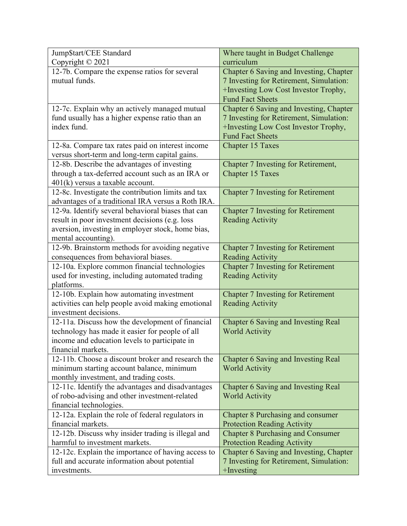| Jump\$tart/CEE Standard                            | Where taught in Budget Challenge           |
|----------------------------------------------------|--------------------------------------------|
| Copyright © 2021                                   | curriculum                                 |
| 12-7b. Compare the expense ratios for several      | Chapter 6 Saving and Investing, Chapter    |
| mutual funds.                                      | 7 Investing for Retirement, Simulation:    |
|                                                    | +Investing Low Cost Investor Trophy,       |
|                                                    | <b>Fund Fact Sheets</b>                    |
| 12-7c. Explain why an actively managed mutual      | Chapter 6 Saving and Investing, Chapter    |
| fund usually has a higher expense ratio than an    | 7 Investing for Retirement, Simulation:    |
| index fund.                                        | +Investing Low Cost Investor Trophy,       |
|                                                    | <b>Fund Fact Sheets</b>                    |
| 12-8a. Compare tax rates paid on interest income   | <b>Chapter 15 Taxes</b>                    |
| versus short-term and long-term capital gains.     |                                            |
| 12-8b. Describe the advantages of investing        | Chapter 7 Investing for Retirement,        |
| through a tax-deferred account such as an IRA or   | <b>Chapter 15 Taxes</b>                    |
| $401(k)$ versus a taxable account.                 |                                            |
| 12-8c. Investigate the contribution limits and tax | <b>Chapter 7 Investing for Retirement</b>  |
| advantages of a traditional IRA versus a Roth IRA. |                                            |
| 12-9a. Identify several behavioral biases that can | <b>Chapter 7 Investing for Retirement</b>  |
| result in poor investment decisions (e.g. loss     | <b>Reading Activity</b>                    |
| aversion, investing in employer stock, home bias,  |                                            |
| mental accounting).                                |                                            |
| 12-9b. Brainstorm methods for avoiding negative    | Chapter 7 Investing for Retirement         |
| consequences from behavioral biases.               | <b>Reading Activity</b>                    |
| 12-10a. Explore common financial technologies      | <b>Chapter 7 Investing for Retirement</b>  |
| used for investing, including automated trading    | <b>Reading Activity</b>                    |
| platforms.                                         |                                            |
| 12-10b. Explain how automating investment          | <b>Chapter 7 Investing for Retirement</b>  |
| activities can help people avoid making emotional  | <b>Reading Activity</b>                    |
| investment decisions.                              |                                            |
| 12-11a. Discuss how the development of financial   | <b>Chapter 6 Saving and Investing Real</b> |
| technology has made it easier for people of all    | <b>World Activity</b>                      |
| income and education levels to participate in      |                                            |
| financial markets.                                 |                                            |
| 12-11b. Choose a discount broker and research the  | Chapter 6 Saving and Investing Real        |
| minimum starting account balance, minimum          | <b>World Activity</b>                      |
| monthly investment, and trading costs.             |                                            |
| 12-11c. Identify the advantages and disadvantages  | Chapter 6 Saving and Investing Real        |
| of robo-advising and other investment-related      | <b>World Activity</b>                      |
| financial technologies.                            |                                            |
| 12-12a. Explain the role of federal regulators in  | <b>Chapter 8 Purchasing and consumer</b>   |
| financial markets.                                 | <b>Protection Reading Activity</b>         |
| 12-12b. Discuss why insider trading is illegal and | <b>Chapter 8 Purchasing and Consumer</b>   |
| harmful to investment markets.                     | <b>Protection Reading Activity</b>         |
| 12-12c. Explain the importance of having access to | Chapter 6 Saving and Investing, Chapter    |
| full and accurate information about potential      | 7 Investing for Retirement, Simulation:    |
| investments.                                       | $+$ Investing                              |